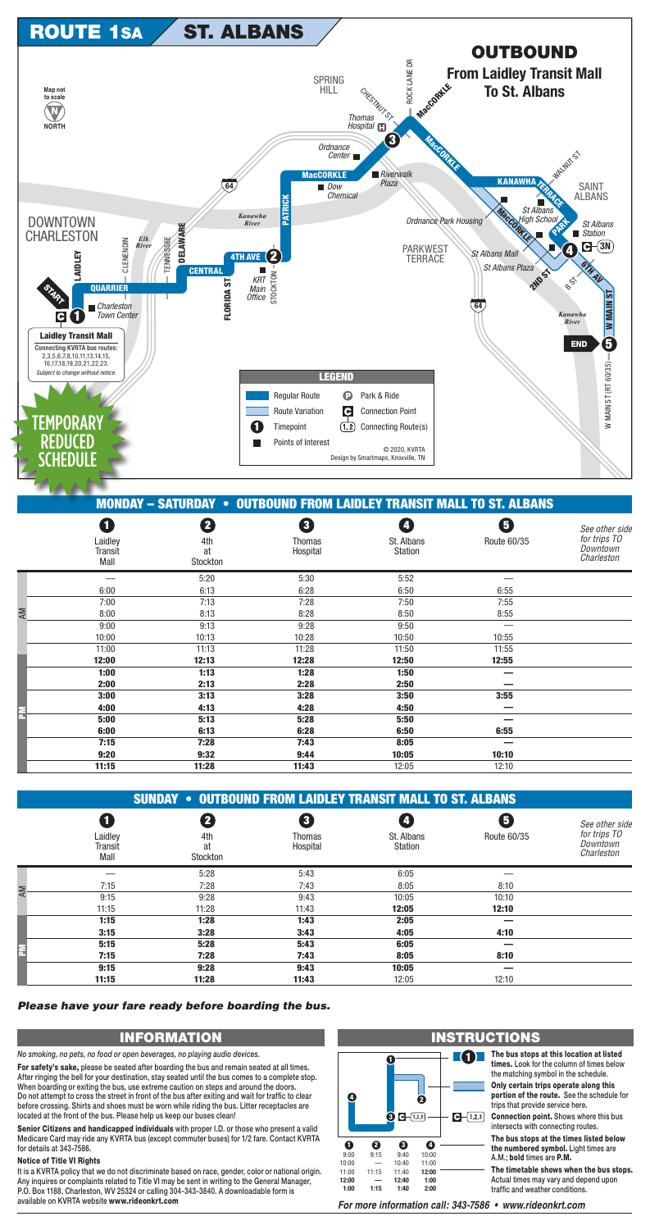

|   |                                        |                            | <b>MONDAY - SATURDAY • OUTBOUND FROM LAIDLEY TRANSIT MALL TO ST. ALBANS</b> |                                   |                  |                                                         |
|---|----------------------------------------|----------------------------|-----------------------------------------------------------------------------|-----------------------------------|------------------|---------------------------------------------------------|
|   | O<br>Laidley<br><b>Transit</b><br>Mall | 2<br>4th<br>at<br>Stockton | 8<br>Thomas<br>Hospital                                                     | 4<br>St. Albans<br><b>Station</b> | 6<br>Route 60/35 | See other sid<br>for trips TO<br>Downtown<br>Charleston |
|   |                                        | 5:20                       | 5:30                                                                        | 5:52                              |                  |                                                         |
|   | 6:00                                   | 6:13                       | 6:28                                                                        | 6:50                              | 6:55             |                                                         |
|   | 7:00                                   | 7:13                       | 7:28                                                                        | 7:50                              | 7:55             |                                                         |
| ₹ | 8:00                                   | 8:13                       | 8:28                                                                        | 8:50                              | 8:55             |                                                         |
|   | 9:00                                   | 9:13                       | 9:28                                                                        | 9:50                              |                  |                                                         |
|   | 10:00                                  | 10:13                      | 10:28                                                                       | 10:50                             | 10:55            |                                                         |
|   | 11:00                                  | 11:13                      | 11:28                                                                       | 11:50                             | 11:55            |                                                         |
|   | 12:00                                  | 12:13                      | 12:28                                                                       | 12:50                             | 12:55            |                                                         |
|   | 1:00                                   | 1:13                       | 1:28                                                                        | 1:50                              |                  |                                                         |
|   | 2:00                                   | 2:13                       | 2:28                                                                        | 2:50                              |                  |                                                         |
|   | 3:00                                   | 3:13                       | 3:28                                                                        | 3:50                              | 3:55             |                                                         |
|   | 4:00                                   | 4:13                       | 4:28                                                                        | 4:50                              |                  |                                                         |
|   | 5:00                                   | 5:13                       | 5:28                                                                        | 5:50                              |                  |                                                         |
|   | 6:00                                   | 6:13                       | 6:28                                                                        | 6:50                              | 6:55             |                                                         |
|   | 7:15                                   | 7:28                       | 7:43                                                                        | 8:05                              |                  |                                                         |
|   | 9:20                                   | 9:32                       | 9:44                                                                        | 10:05                             | 10:10            |                                                         |
|   | 11:15                                  | 11:28                      | 11:43                                                                       | 12.05                             | 12.10            |                                                         |

|                            | <b>SUNDAY • OUTBOUND FROM LAIDLEY TRANSIT MALL TO ST. ALBANS</b> |                    |                              |                  |                                                          |
|----------------------------|------------------------------------------------------------------|--------------------|------------------------------|------------------|----------------------------------------------------------|
| Laidley<br>Transit<br>Mall | 4th<br>at<br>Stockton                                            | Thomas<br>Hospital | St. Albans<br><b>Station</b> | 5<br>Route 60/35 | See other side<br>for trips TO<br>Downtown<br>Charleston |
|                            | 5:28                                                             | 5:43               | 6:05                         |                  |                                                          |

| ⋝ | 7:15  | 7:28  | 7:43  | 8:05  | 8:10  |  |
|---|-------|-------|-------|-------|-------|--|
|   | 9:15  | 9:28  | 9:43  | 10:05 | 10:10 |  |
|   | 11:15 | 11:28 | 11:43 | 12:05 | 12:10 |  |
|   | 1:15  | 1:28  | 1:43  | 2:05  |       |  |
|   | 3:15  | 3:28  | 3:43  | 4:05  | 4:10  |  |
|   | 5:15  | 5:28  | 5:43  | 6:05  |       |  |
|   | 7:15  | 7:28  | 7:43  | 8:05  | 8:10  |  |
|   | 9:15  | 9:28  | 9:43  | 10:05 |       |  |
|   | 11:15 | 11:28 | 11:43 | 12:05 | 12:10 |  |

## Please have your fare ready before boarding the bus.

## **INFORMATION**

No smoking, no pets, no food or open beverages, no playing audio devices.

For safety's sake, please be seated after boarding the bus and remain seated at all times. After ringing the bell for your destination, stay seated until the bus comes to a complete stop. When boarding or exiting the bus, use extreme caution on steps and around the doors. Do not attempt to cross the street in front of the bus after exiting and wait for traffic to clear before crossing. Shirts and shoes must be worn while riding the bus. Litter receptacles are located at the front of the bus. Please help us keep our buses clean!

Senior Citizens and handicapped individuals with proper I.D. or those who present a valid Medicare Card may ride any KVRTA bus (except commuter buses) for 1/2 fare. Contact KVRTA for details at 343-7586.

## **Notice of Title VI Rights**

It is a KVRTA policy that we do not discriminate based on race, gender, color or national origin. Any inquires or complaints related to Title VI may be sent in writing to the General Manager, P.O. Box 1188, Charleston, WV 25324 or calling 304-343-3840. A downloadable form is available on KVRTA website www.rideonkrt.com



## **INSTRUCTIONS**

The bus stops at this location at listed times. Look for the column of times below the matching symbol in the schedule.

> Only certain trips operate along this portion of the route. See the schedule for trips that provide service here.

**Connection point.** Shows where this bus intersects with connecting routes.

The bus stops at the times listed below the numbered symbol. Light times are A.M.; bold times are P.M.

The timetable shows when the bus stops. Actual times may vary and depend upon traffic and weather conditions.

For more information call: 343-7586 • www.rideonkrt.com